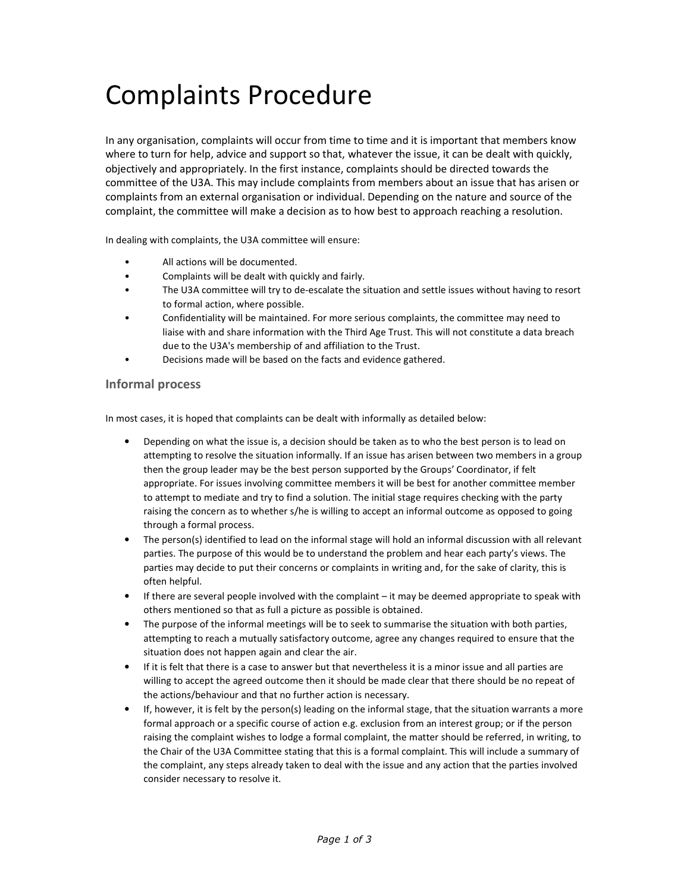# Complaints Procedure

In any organisation, complaints will occur from time to time and it is important that members know where to turn for help, advice and support so that, whatever the issue, it can be dealt with quickly, objectively and appropriately. In the first instance, complaints should be directed towards the committee of the U3A. This may include complaints from members about an issue that has arisen or complaints from an external organisation or individual. Depending on the nature and source of the complaint, the committee will make a decision as to how best to approach reaching a resolution.

In dealing with complaints, the U3A committee will ensure:

- All actions will be documented.
- Complaints will be dealt with quickly and fairly.
- The U3A committee will try to de-escalate the situation and settle issues without having to resort to formal action, where possible.
- Confidentiality will be maintained. For more serious complaints, the committee may need to liaise with and share information with the Third Age Trust. This will not constitute a data breach due to the U3A's membership of and affiliation to the Trust.
- Decisions made will be based on the facts and evidence gathered.

### **Informal process**

In most cases, it is hoped that complaints can be dealt with informally as detailed below:

- Depending on what the issue is, a decision should be taken as to who the best person is to lead on attempting to resolve the situation informally. If an issue has arisen between two members in a group then the group leader may be the best person supported by the Groups' Coordinator, if felt appropriate. For issues involving committee members it will be best for another committee member to attempt to mediate and try to find a solution. The initial stage requires checking with the party raising the concern as to whether s/he is willing to accept an informal outcome as opposed to going through a formal process.
- The person(s) identified to lead on the informal stage will hold an informal discussion with all relevant parties. The purpose of this would be to understand the problem and hear each party's views. The parties may decide to put their concerns or complaints in writing and, for the sake of clarity, this is often helpful.
- If there are several people involved with the complaint it may be deemed appropriate to speak with others mentioned so that as full a picture as possible is obtained.
- The purpose of the informal meetings will be to seek to summarise the situation with both parties, attempting to reach a mutually satisfactory outcome, agree any changes required to ensure that the situation does not happen again and clear the air.
- If it is felt that there is a case to answer but that nevertheless it is a minor issue and all parties are willing to accept the agreed outcome then it should be made clear that there should be no repeat of the actions/behaviour and that no further action is necessary.
- If, however, it is felt by the person(s) leading on the informal stage, that the situation warrants a more formal approach or a specific course of action e.g. exclusion from an interest group; or if the person raising the complaint wishes to lodge a formal complaint, the matter should be referred, in writing, to the Chair of the U3A Committee stating that this is a formal complaint. This will include a summary of the complaint, any steps already taken to deal with the issue and any action that the parties involved consider necessary to resolve it.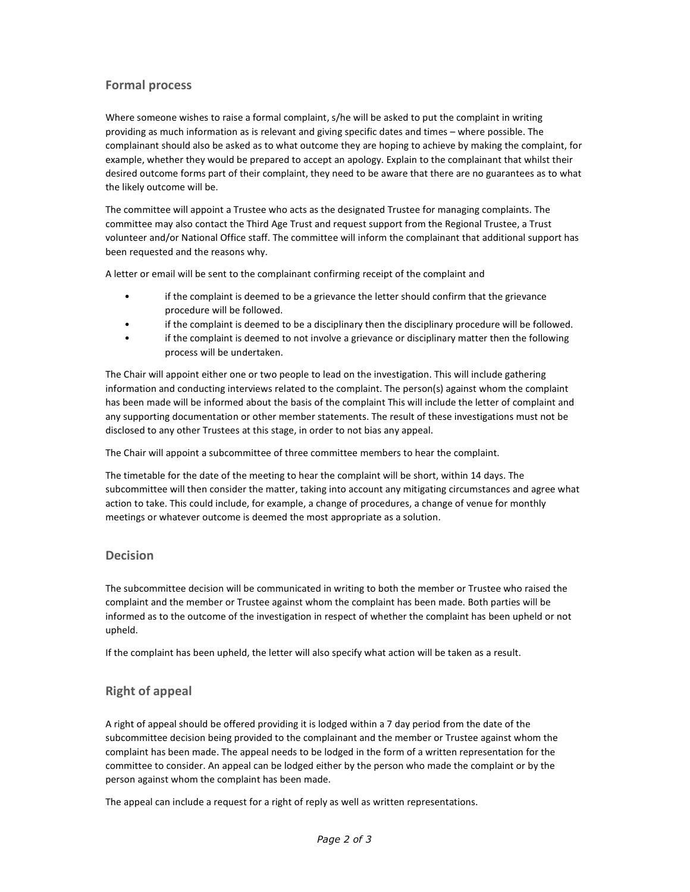## **Formal process**

Where someone wishes to raise a formal complaint, s/he will be asked to put the complaint in writing providing as much information as is relevant and giving specific dates and times – where possible. The complainant should also be asked as to what outcome they are hoping to achieve by making the complaint, for example, whether they would be prepared to accept an apology. Explain to the complainant that whilst their desired outcome forms part of their complaint, they need to be aware that there are no guarantees as to what the likely outcome will be.

The committee will appoint a Trustee who acts as the designated Trustee for managing complaints. The committee may also contact the Third Age Trust and request support from the Regional Trustee, a Trust volunteer and/or National Office staff. The committee will inform the complainant that additional support has been requested and the reasons why.

A letter or email will be sent to the complainant confirming receipt of the complaint and

- if the complaint is deemed to be a grievance the letter should confirm that the grievance procedure will be followed.
- if the complaint is deemed to be a disciplinary then the disciplinary procedure will be followed.
- if the complaint is deemed to not involve a grievance or disciplinary matter then the following process will be undertaken.

The Chair will appoint either one or two people to lead on the investigation. This will include gathering information and conducting interviews related to the complaint. The person(s) against whom the complaint has been made will be informed about the basis of the complaint This will include the letter of complaint and any supporting documentation or other member statements. The result of these investigations must not be disclosed to any other Trustees at this stage, in order to not bias any appeal.

The Chair will appoint a subcommittee of three committee members to hear the complaint.

The timetable for the date of the meeting to hear the complaint will be short, within 14 days. The subcommittee will then consider the matter, taking into account any mitigating circumstances and agree what action to take. This could include, for example, a change of procedures, a change of venue for monthly meetings or whatever outcome is deemed the most appropriate as a solution.

#### **Decision**

The subcommittee decision will be communicated in writing to both the member or Trustee who raised the complaint and the member or Trustee against whom the complaint has been made. Both parties will be informed as to the outcome of the investigation in respect of whether the complaint has been upheld or not upheld.

If the complaint has been upheld, the letter will also specify what action will be taken as a result.

## **Right of appeal**

A right of appeal should be offered providing it is lodged within a 7 day period from the date of the subcommittee decision being provided to the complainant and the member or Trustee against whom the complaint has been made. The appeal needs to be lodged in the form of a written representation for the committee to consider. An appeal can be lodged either by the person who made the complaint or by the person against whom the complaint has been made.

The appeal can include a request for a right of reply as well as written representations.